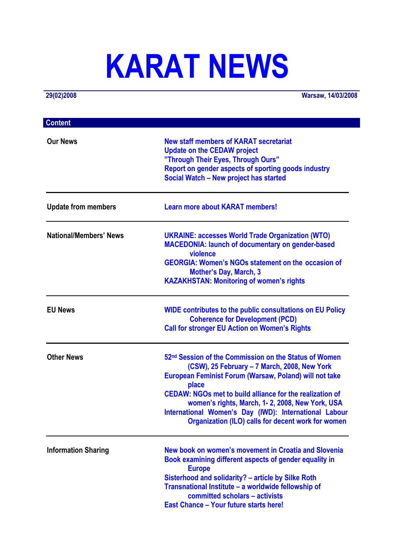# **KARAT NEWS**

**29(02)2008 Warsaw, 14/03/2008**

| <b>Content</b>                |                                                                                                                                                                                                                                                                                                                                                                                                                                  |
|-------------------------------|----------------------------------------------------------------------------------------------------------------------------------------------------------------------------------------------------------------------------------------------------------------------------------------------------------------------------------------------------------------------------------------------------------------------------------|
| <b>Our News</b>               | <b>New staff members of KARAT secretariat</b><br><b>Update on the CEDAW project</b><br>"Through Their Eyes, Through Ours"<br>Report on gender aspects of sporting goods industry<br>Social Watch - New project has started                                                                                                                                                                                                       |
| <b>Update from members</b>    | <b>Learn more about KARAT members!</b>                                                                                                                                                                                                                                                                                                                                                                                           |
| <b>National/Members' News</b> | <b>UKRAINE: accesses World Trade Organization (WTO)</b><br><b>MACEDONIA: launch of documentary on gender-based</b><br>violence<br><b>GEORGIA: Women's NGOs statement on the occasion of</b><br><b>Mother's Day, March, 3</b><br><b>KAZAKHSTAN: Monitoring of women's rights</b>                                                                                                                                                  |
| <b>EU News</b>                | <b>WIDE contributes to the public consultations on EU Policy</b><br><b>Coherence for Development (PCD)</b><br><b>Call for stronger EU Action on Women's Rights</b>                                                                                                                                                                                                                                                               |
| <b>Other News</b>             | 52 <sup>nd</sup> Session of the Commission on the Status of Women<br>(CSW), 25 February - 7 March, 2008, New York<br><b>European Feminist Forum (Warsaw, Poland) will not take</b><br>place<br><b>CEDAW: NGOs met to build alliance for the realization of</b><br>women's rights, March, 1-2, 2008, New York, USA<br>International Women's Day (IWD): International Labour<br>Organization (ILO) calls for decent work for women |
| <b>Information Sharing</b>    | New book on women's movement in Croatia and Slovenia<br>Book examining different aspects of gender equality in<br><b>Europe</b><br>Sisterhood and solidarity? - article by Silke Roth<br>Transnational Institute - a worldwide fellowship of<br>committed scholars - activists<br><b>East Chance - Your future starts here!</b>                                                                                                  |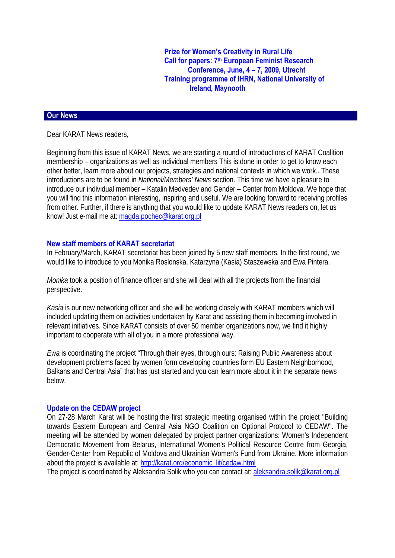**Prize for Women's Creativity in Rural Life Call for papers: 7th European Feminist Research Conference, June, 4 – 7, 2009, Utrecht Training programme of IHRN, National University of Ireland, Maynooth** 

#### **Our News**

Dear KARAT News readers,

Beginning from this issue of KARAT News, we are starting a round of introductions of KARAT Coalition membership – organizations as well as individual members This is done in order to get to know each other better, learn more about our projects, strategies and national contexts in which we work.. These introductions are to be found in *National/Members' News* section. This time we have a pleasure to introduce our individual member – Katalin Medvedev and Gender – Center from Moldova. We hope that you will find this information interesting, inspiring and useful. We are looking forward to receiving profiles from other. Further, if there is anything that you would like to update KARAT News readers on, let us know! Just e-mail me at: [magda.pochec@karat.org.pl](mailto:magda.pochec@karat.org.pl)

#### **New staff members of KARAT secretariat**

In February/March, KARAT secretariat has been joined by 5 new staff members. In the first round, we would like to introduce to you Monika Roslonska. Katarzyna (Kasia) Staszewska and Ewa Pintera.

*Monika* took a position of finance officer and she will deal with all the projects from the financial perspective.

*Kasia* is our new networking officer and she will be working closely with KARAT members which will included updating them on activities undertaken by Karat and assisting them in becoming involved in relevant initiatives. Since KARAT consists of over 50 member organizations now, we find it highly important to cooperate with all of you in a more professional way.

*Ewa* is coordinating the project "Through their eyes, through ours: Raising Public Awareness about development problems faced by women form developing countries form EU Eastern Neighborhood, Balkans and Central Asia" that has just started and you can learn more about it in the separate news below.

#### **Update on the CEDAW project**

On 27-28 March Karat will be hosting the first strategic meeting organised within the project "Building towards Eastern European and Central Asia NGO Coalition on Optional Protocol to CEDAW". The meeting will be attended by women delegated by project partner organizations: Women's Independent Democratic Movement from Belarus, International Women's Political Resource Centre from Georgia, Gender-Center from Republic of Moldova and Ukrainian Women's Fund from Ukraine. More information about the project is available at: [http://karat.org/economic\\_lit/cedaw.html](http://karat.org/economic_lit/cedaw.html)

The project is coordinated by Aleksandra Solik who you can contact at: aleksandra.solik@karat.org.pl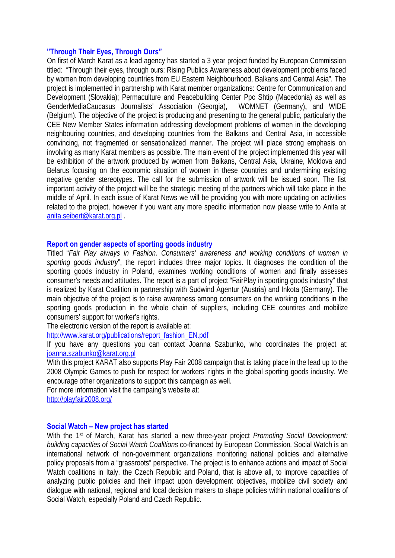#### **"Through Their Eyes, Through Ours"**

On first of March Karat as a lead agency has started a 3 year project funded by European Commission titled: "Through their eyes, through ours: Rising Publics Awareness about development problems faced by women from developing countries from EU Eastern Neighbourhood, Balkans and Central Asia". The project is implemented in partnership with Karat member organizations: Centre for Communication and Development (Slovakia); Permaculture and Peacebuilding Center Ppc Shtip (Macedonia) as well as GenderMediaCaucasus Journalists' Association (Georgia), WOMNET (Germany)**,** and WIDE (Belgium). The objective of the project is producing and presenting to the general public, particularly the CEE New Member States information addressing development problems of women in the developing neighbouring countries, and developing countries from the Balkans and Central Asia, in accessible convincing, not fragmented or sensationalized manner. The project will place strong emphasis on involving as many Karat members as possible. The main event of the project implemented this year will be exhibition of the artwork produced by women from Balkans, Central Asia, Ukraine, Moldova and Belarus focusing on the economic situation of women in these countries and undermining existing negative gender stereotypes. The call for the submission of artwork will be issued soon. The fist important activity of the project will be the strategic meeting of the partners which will take place in the middle of April. In each issue of Karat News we will be providing you with more updating on activities related to the project, however if you want any more specific information now please write to Anita at [anita.seibert@karat.org.pl](mailto:anita.seibert@karat.org.pl) .

#### **Report on gender aspects of sporting goods industry**

Titled "*Fair Play always in Fashion. Consumers' awareness and working conditions of women in sporting goods industry*", the report includes three major topics. It diagnoses the condition of the sporting goods industry in Poland, examines working conditions of women and finally assesses consumer's needs and attitudes. The report is a part of project "FairPlay in sporting goods industry" that is realized by Karat Coalition in partnership with Sudwind Agentur (Austria) and Inkota (Germany). The main objective of the project is to raise awareness among consumers on the working conditions in the sporting goods production in the whole chain of suppliers, including CEE countires and mobilize consumers' support for worker's rights.

The electronic version of the report is available at:

[http://www.karat.org/publications/report\\_fashion\\_EN.pdf](http://www.karat.org/publications/report_fashion_EN.pdf)

If you have any questions you can contact Joanna Szabunko, who coordinates the project at: [joanna.szabunko@karat.org.pl](mailto:joanna.szabunko@karat.org.pl)

With this project KARAT also supports Play Fair 2008 campaign that is taking place in the lead up to the 2008 Olympic Games to push for respect for workers' rights in the global sporting goods industry. We encourage other organizations to support this campaign as well.

For more information visit the campaing's website at:

<http://playfair2008.org/>

#### **Social Watch – New project has started**

With the 1<sup>st</sup> of March, Karat has started a new three-year project *Promoting Social Development: building capacities of Social Watch Coalitions* co-financed by European Commission*.* Social Watch is an international network of non-government organizations monitoring national policies and alternative policy proposals from a "grassroots" perspective. The project is to enhance actions and impact of Social Watch coalitions in Italy, the Czech Republic and Poland, that is above all, to improve capacities of analyzing public policies and their impact upon development objectives, mobilize civil society and dialogue with national, regional and local decision makers to shape policies within national coalitions of Social Watch, especially Poland and Czech Republic.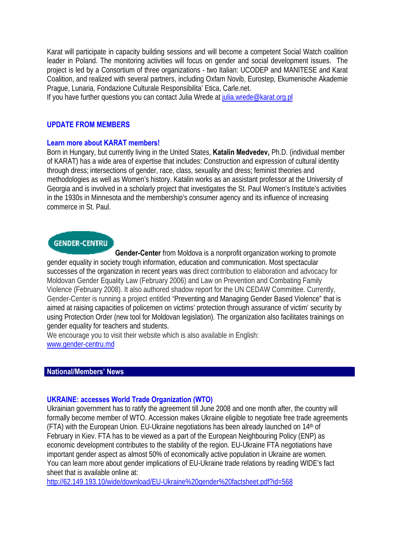Karat will participate in capacity building sessions and will become a competent Social Watch coalition leader in Poland. The monitoring activities will focus on gender and social development issues. The project is led by a Consortium of three organizations - two Italian: UCODEP and MANITESE and Karat Coalition, and realized with several partners, including Oxfam Novib, Eurostep, Ekumenische Akademie Prague, Lunaria, Fondazione Culturale Responsibilita' Etica, Carle.net.

If you have further questions you can contact Julia Wrede at [julia.wrede@karat.org.pl](mailto:julia.wrede@karat.org.pl)

#### **UPDATE FROM MEMBERS**

#### **Learn more about KARAT members!**

Born in Hungary, but currently living in the United States, **Katalin Medvedev,** Ph.D. (individual member of KARAT) has a wide area of expertise that includes: Construction and expression of cultural identity through dress; intersections of gender, race, class, sexuality and dress; feminist theories and methodologies as well as Women's history. Katalin works as an assistant professor at the University of Georgia and is involved in a scholarly project that investigates the St. Paul Women's Institute's activities in the 1930s in Minnesota and the membership's consumer agency and its influence of increasing commerce in St. Paul.

# **GENDER-CENTRU**

**Gender-Center** from Moldova is a nonprofit organization working to promote gender equality in society trough information, education and communication. Most spectacular successes of the organization in recent years was direct contribution to elaboration and advocacy for Moldovan Gender Equality Law (February 2006) and Law on Prevention and Combating Family Violence (February 2008). It also authored shadow report for the UN CEDAW Committee. Currently, Gender-Center is running a project entitled "Preventing and Managing Gender Based Violence" that is aimed at raising capacities of policemen on victims' protection through assurance of victim' security by using Protection Order (new tool for Moldovan legislation). The organization also facilitates trainings on gender equality for teachers and students.

We encourage you to visit their website which is also available in English: [www.gender-centru.md](http://www.gender-centru.md/)

#### **National/Members' News**

#### **UKRAINE: accesses World Trade Organization (WTO)**

Ukrainian government has to ratify the agreement till June 2008 and one month after, the country will formally become member of WTO. Accession makes Ukraine eligible to negotiate free trade agreements (FTA) with the European Union. EU-Ukraine negotiations has been already launched on 14th of February in Kiev. FTA has to be viewed as a part of the European Neighbouring Policy (ENP) as economic development contributes to the stability of the region. EU-Ukraine FTA negotiations have important gender aspect as almost 50% of economically active population in Ukraine are women. You can learn more about gender implications of EU-Ukraine trade relations by reading WIDE's fact sheet that is available online at:

<http://62.149.193.10/wide/download/EU-Ukraine%20gender%20factsheet.pdf?id=568>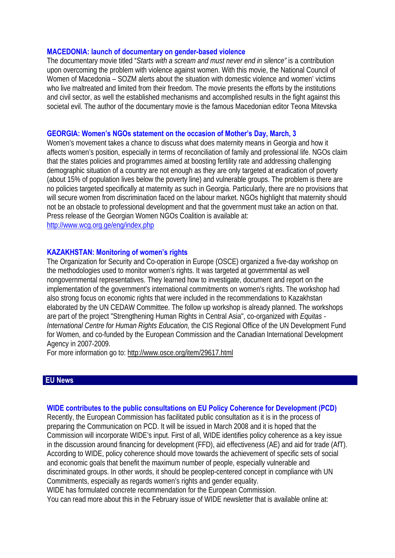#### **MACEDONIA: launch of documentary on gender-based violence**

The documentary movie titled "*Starts with a scream and must never end in silence"* is a contribution upon overcoming the problem with violence against women. With this movie, the National Council of Women of Macedonia – SOZM alerts about the situation with domestic violence and women' victims who live maltreated and limited from their freedom. The movie presents the efforts by the institutions and civil sector, as well the established mechanisms and accomplished results in the fight against this societal evil. The author of the documentary movie is the famous Macedonian editor Teona Mitevska

#### **GEORGIA: Women's NGOs statement on the occasion of Mother's Day, March, 3**

Women's movement takes a chance to discuss what does maternity means in Georgia and how it affects women's position, especially in terms of reconciliation of family and professional life. NGOs claim that the states policies and programmes aimed at boosting fertility rate and addressing challenging demographic situation of a country are not enough as they are only targeted at eradication of poverty (about 15% of population lives below the poverty line) and vulnerable groups. The problem is there are no policies targeted specifically at maternity as such in Georgia. Particularly, there are no provisions that will secure women from discrimination faced on the labour market. NGOs highlight that maternity should not be an obstacle to professional development and that the government must take an action on that. Press release of the Georgian Women NGOs Coalition is available at: <http://www.wcg.org.ge/eng/index.php>

#### **KAZAKHSTAN: Monitoring of women's rights**

The Organization for Security and Co-operation in Europe (OSCE) organized a five-day workshop on the methodologies used to monitor women's rights. It was targeted at governmental as well nongovernmental representatives. They learned how to investigate, document and report on the implementation of the government's international commitments on women's rights. The workshop had also strong focus on economic rights that were included in the recommendations to Kazakhstan elaborated by the UN CEDAW Committee. The follow up workshop is already planned. The workshops are part of the project "Strengthening Human Rights in Central Asia", co-organized with *Equitas - International Centre for Human Rights Education,* the CIS Regional Office of the UN Development Fund for Women, and co-funded by the European Commission and the Canadian International Development Agency in 2007-2009.

For more information go to:<http://www.osce.org/item/29617.html>

#### **EU News**

#### **WIDE contributes to the public consultations on EU Policy Coherence for Development (PCD)**

Recently, the European Commission has facilitated public consultation as it is in the process of preparing the Communication on PCD. It will be issued in March 2008 and it is hoped that the Commission will incorporate WIDE's input. First of all, WIDE identifies policy coherence as a key issue in the discussion around financing for development (FFD), aid effectiveness (AE) and aid for trade (AfT). According to WIDE, policy coherence should move towards the achievement of specific sets of social and economic goals that benefit the maximum number of people, especially vulnerable and discriminated groups. In other words, it should be peoplep-centered concept in compliance with UN Commitments, especially as regards women's rights and gender equality.

WIDE has formulated concrete recommendation for the European Commission.

You can read more about this in the February issue of WIDE newsletter that is available online at: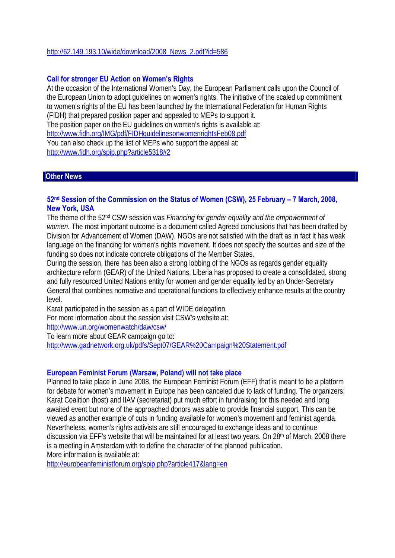#### [http://62.149.193.10/wide/download/2008\\_News\\_2.pdf?id=586](http://62.149.193.10/wide/download/2008_News_2.pdf?id=586)

#### **Call for stronger EU Action on Women's Rights**

At the occasion of the International Women's Day, the European Parliament calls upon the Council of the European Union to adopt guidelines on women's rights. The initiative of the scaled up commitment to women's rights of the EU has been launched by the International Federation for Human Rights (FIDH) that prepared position paper and appealed to MEPs to support it. The position paper on the EU guidelines on women's rights is available at: <http://www.fidh.org/IMG/pdf/FIDHguidelinesonwomenrightsFeb08.pdf> You can also check up the list of MEPs who support the appeal at: <http://www.fidh.org/spip.php?article5318#2>

#### **Other News**

#### **52nd Session of the Commission on the Status of Women (CSW), 25 February – 7 March, 2008, New York, USA**

The theme of the 52nd CSW session was *Financing for gender equality and the empowerment of women.* The most important outcome is a document called Agreed conclusions that has been drafted by Division for Advancement of Women (DAW). NGOs are not satisfied with the draft as in fact it has weak language on the financing for women's rights movement. It does not specify the sources and size of the funding so does not indicate concrete obligations of the Member States.

During the session, there has been also a strong lobbing of the NGOs as regards gender equality architecture reform (GEAR) of the United Nations. Liberia has proposed to create a consolidated, strong and fully resourced United Nations entity for women and gender equality led by an Under-Secretary General that combines normative and operational functions to effectively enhance results at the country level.

Karat participated in the session as a part of WIDE delegation.

For more information about the session visit CSW's website at:

<http://www.un.org/womenwatch/daw/csw/>

To learn more about GEAR campaign go to: <http://www.gadnetwork.org.uk/pdfs/Sept07/GEAR%20Campaign%20Statement.pdf>

#### **European Feminist Forum (Warsaw, Poland) will not take place**

Planned to take place in June 2008, the European Feminist Forum (EFF) that is meant to be a platform for debate for women's movement in Europe has been canceled due to lack of funding. The organizers: Karat Coalition (host) and IIAV (secretariat) put much effort in fundraising for this needed and long awaited event but none of the approached donors was able to provide financial support. This can be viewed as another example of cuts in funding available for women's movement and feminist agenda. Nevertheless, women's rights activists are still encouraged to exchange ideas and to continue discussion via EFF's website that will be maintained for at least two years. On 28<sup>th</sup> of March, 2008 there is a meeting in Amsterdam with to define the character of the planned publication. More information is available at:

<http://europeanfeministforum.org/spip.php?article417&lang=en>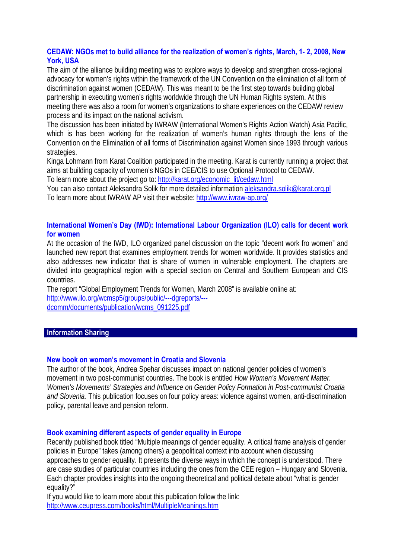# **CEDAW: NGOs met to build alliance for the realization of women's rights, March, 1- 2, 2008, New York, USA**

The aim of the alliance building meeting was to explore ways to develop and strengthen cross-regional advocacy for women's rights within the framework of the UN Convention on the elimination of all form of discrimination against women (CEDAW). This was meant to be the first step towards building global partnership in executing women's rights worldwide through the UN Human Rights system. At this meeting there was also a room for women's organizations to share experiences on the CEDAW review process and its impact on the national activism.

The discussion has been initiated by IWRAW (International Women's Rights Action Watch) Asia Pacific, which is has been working for the realization of women's human rights through the lens of the Convention on the Elimination of all forms of Discrimination against Women since 1993 through various strategies.

Kinga Lohmann from Karat Coalition participated in the meeting. Karat is currently running a project that aims at building capacity of women's NGOs in CEE/CIS to use Optional Protocol to CEDAW.

To learn more about the project go to: http://karat.org/economic\_lit/cedaw.html

You can also contact Aleksandra Solik for more detailed information [aleksandra.solik@karat.org.pl](mailto:aleksandra.solik@karat.org.pl)  To learn more about IWRAW AP visit their website:<http://www.iwraw-ap.org/>

# **International Women's Day (IWD): International Labour Organization (ILO) calls for decent work for women**

At the occasion of the IWD, ILO organized panel discussion on the topic "decent work fro women" and launched new report that examines employment trends for women worldwide. It provides statistics and also addresses new indicator that is share of women in vulnerable employment. The chapters are divided into geographical region with a special section on Central and Southern European and CIS countries.

The report "Global Employment Trends for Women, March 2008" is available online at: [http://www.ilo.org/wcmsp5/groups/public/---dgreports/--](http://www.ilo.org/wcmsp5/groups/public/---dgreports/---dcomm/documents/publication/wcms_091225.pdf) [dcomm/documents/publication/wcms\\_091225.pdf](http://www.ilo.org/wcmsp5/groups/public/---dgreports/---dcomm/documents/publication/wcms_091225.pdf)

# **Information Sharing**

### **New book on women's movement in Croatia and Slovenia**

The author of the book, Andrea Spehar discusses impact on national gender policies of women's movement in two post-communist countries. The book is entitled *How Women's Movement Matter. Women's Movements' Strategies and Influence on Gender Policy Formation in Post-communist Croatia and Slovenia.* This publication focuses on four policy areas: violence against women, anti-discrimination policy, parental leave and pension reform.

### **Book examining different aspects of gender equality in Europe**

Recently published book titled "Multiple meanings of gender equality. A critical frame analysis of gender policies in Europe" takes (among others) a geopolitical context into account when discussing approaches to gender equality. It presents the diverse ways in which the concept is understood. There are case studies of particular countries including the ones from the CEE region – Hungary and Slovenia. Each chapter provides insights into the ongoing theoretical and political debate about "what is gender equality?"

If you would like to learn more about this publication follow the link: <http://www.ceupress.com/books/html/MultipleMeanings.htm>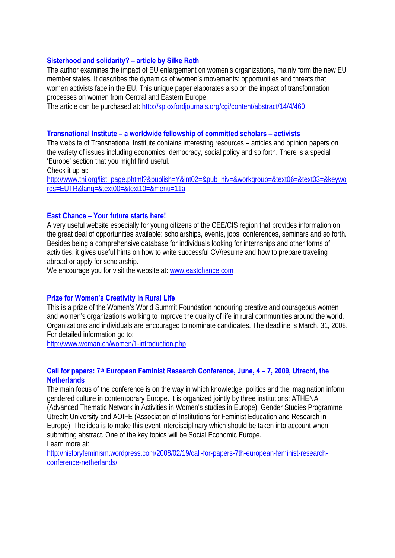#### **Sisterhood and solidarity? – article by Silke Roth**

The author examines the impact of EU enlargement on women's organizations, mainly form the new EU member states. It describes the dynamics of women's movements: opportunities and threats that women activists face in the EU. This unique paper elaborates also on the impact of transformation processes on women from Central and Eastern Europe.

The article can be purchased at:<http://sp.oxfordjournals.org/cgi/content/abstract/14/4/460>

#### **Transnational Institute – a worldwide fellowship of committed scholars – activists**

The website of Transnational Institute contains interesting resources – articles and opinion papers on the variety of issues including economics, democracy, social policy and so forth. There is a special 'Europe' section that you might find useful.

Check it up at:

[http://www.tni.org/list\\_page.phtml?&publish=Y&int02=&pub\\_niv=&workgroup=&text06=&text03=&keywo](http://www.tni.org/list_page.phtml?&publish=Y&int02=&pub_niv=&workgroup=&text06=&text03=&keywords=EUTR&lang=&text00=&text10=&menu=11a) [rds=EUTR&lang=&text00=&text10=&menu=11a](http://www.tni.org/list_page.phtml?&publish=Y&int02=&pub_niv=&workgroup=&text06=&text03=&keywords=EUTR&lang=&text00=&text10=&menu=11a)

#### **East Chance – Your future starts here!**

A very useful website especially for young citizens of the CEE/CIS region that provides information on the great deal of opportunities available: scholarships, events, jobs, conferences, seminars and so forth. Besides being a comprehensive database for individuals looking for internships and other forms of activities, it gives useful hints on how to write successful CV/resume and how to prepare traveling abroad or apply for scholarship.

We encourage you for visit the website at: [www.eastchance.com](http://www.eastchance.com/) 

### **Prize for Women's Creativity in Rural Life**

This is a prize of the Women's World Summit Foundation honouring creative and courageous women and women's organizations working to improve the quality of life in rural communities around the world. Organizations and individuals are encouraged to nominate candidates. The deadline is March, 31, 2008. For detailed information go to:

<http://www.woman.ch/women/1-introduction.php>

#### Call for papers: 7<sup>th</sup> European Feminist Research Conference, June, 4 – 7, 2009, Utrecht, the **Netherlands**

The main focus of the conference is on the way in which knowledge, politics and the imagination inform gendered culture in contemporary Europe. It is organized jointly by three institutions: ATHENA (Advanced Thematic Network in Activities in Women's studies in Europe), Gender Studies Programme Utrecht University and AOIFE (Association of Institutions for Feminist Education and Research in Europe). The idea is to make this event interdisciplinary which should be taken into account when submitting abstract. One of the key topics will be Social Economic Europe. Learn more at:

[http://historyfeminism.wordpress.com/2008/02/19/call-for-papers-7th-european-feminist-research](http://historyfeminism.wordpress.com/2008/02/19/call-for-papers-7th-european-feminist-research-conference-netherlands/)[conference-netherlands/](http://historyfeminism.wordpress.com/2008/02/19/call-for-papers-7th-european-feminist-research-conference-netherlands/)